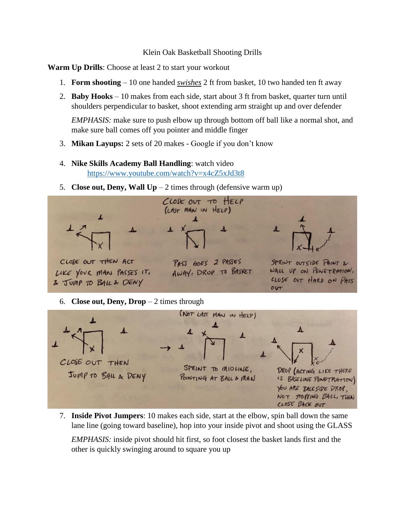## Klein Oak Basketball Shooting Drills

**Warm Up Drills**: Choose at least 2 to start your workout

- 1. **Form shooting** 10 one handed *swishes* 2 ft from basket, 10 two handed ten ft away
- 2. **Baby Hooks** 10 makes from each side, start about 3 ft from basket, quarter turn until shoulders perpendicular to basket, shoot extending arm straight up and over defender

*EMPHASIS:* make sure to push elbow up through bottom off ball like a normal shot, and make sure ball comes off you pointer and middle finger

- 3. **Mikan Layups:** 2 sets of 20 makes Google if you don't know
- 4. **Nike Skills Academy Ball Handling**: watch video <https://www.youtube.com/watch?v=x4cZ5xJd3t8>
- 5. **Close out, Deny, Wall Up**  $-2$  times through (defensive warm up)



7. **Inside Pivot Jumpers**: 10 makes each side, start at the elbow, spin ball down the same lane line (going toward baseline), hop into your inside pivot and shoot using the GLASS

*EMPHASIS:* inside pivot should hit first, so foot closest the basket lands first and the other is quickly swinging around to square you up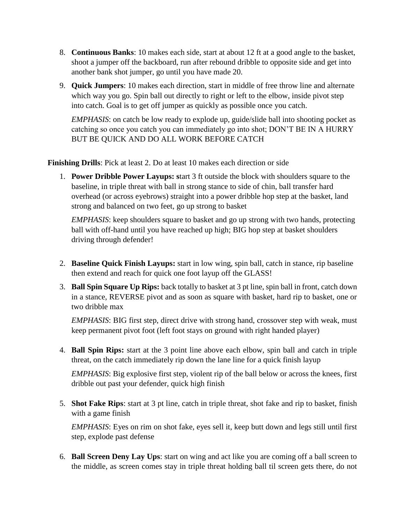- 8. **Continuous Banks**: 10 makes each side, start at about 12 ft at a good angle to the basket, shoot a jumper off the backboard, run after rebound dribble to opposite side and get into another bank shot jumper, go until you have made 20.
- 9. **Quick Jumpers**: 10 makes each direction, start in middle of free throw line and alternate which way you go. Spin ball out directly to right or left to the elbow, inside pivot step into catch. Goal is to get off jumper as quickly as possible once you catch.

*EMPHASIS*: on catch be low ready to explode up, guide/slide ball into shooting pocket as catching so once you catch you can immediately go into shot; DON'T BE IN A HURRY BUT BE QUICK AND DO ALL WORK BEFORE CATCH

**Finishing Drills**: Pick at least 2. Do at least 10 makes each direction or side

1. **Power Dribble Power Layups: s**tart 3 ft outside the block with shoulders square to the baseline, in triple threat with ball in strong stance to side of chin, ball transfer hard overhead (or across eyebrows) straight into a power dribble hop step at the basket, land strong and balanced on two feet, go up strong to basket

*EMPHASIS*: keep shoulders square to basket and go up strong with two hands, protecting ball with off-hand until you have reached up high; BIG hop step at basket shoulders driving through defender!

- 2. **Baseline Quick Finish Layups:** start in low wing, spin ball, catch in stance, rip baseline then extend and reach for quick one foot layup off the GLASS!
- 3. **Ball Spin Square Up Rips:** back totally to basket at 3 pt line, spin ball in front, catch down in a stance, REVERSE pivot and as soon as square with basket, hard rip to basket, one or two dribble max

*EMPHASIS*: BIG first step, direct drive with strong hand, crossover step with weak, must keep permanent pivot foot (left foot stays on ground with right handed player)

4. **Ball Spin Rips:** start at the 3 point line above each elbow, spin ball and catch in triple threat, on the catch immediately rip down the lane line for a quick finish layup

*EMPHASIS*: Big explosive first step, violent rip of the ball below or across the knees, first dribble out past your defender, quick high finish

5. **Shot Fake Rips**: start at 3 pt line, catch in triple threat, shot fake and rip to basket, finish with a game finish

*EMPHASIS*: Eyes on rim on shot fake, eyes sell it, keep butt down and legs still until first step, explode past defense

6. **Ball Screen Deny Lay Ups**: start on wing and act like you are coming off a ball screen to the middle, as screen comes stay in triple threat holding ball til screen gets there, do not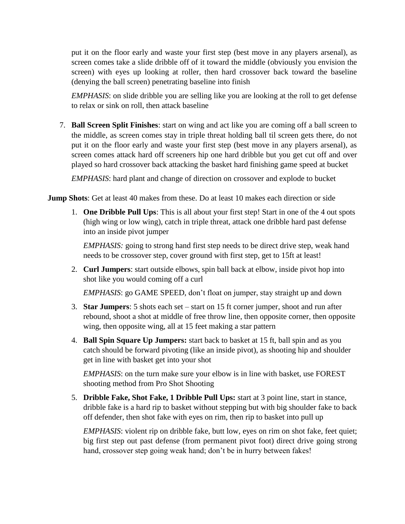put it on the floor early and waste your first step (best move in any players arsenal), as screen comes take a slide dribble off of it toward the middle (obviously you envision the screen) with eyes up looking at roller, then hard crossover back toward the baseline (denying the ball screen) penetrating baseline into finish

*EMPHASIS*: on slide dribble you are selling like you are looking at the roll to get defense to relax or sink on roll, then attack baseline

7. **Ball Screen Split Finishes**: start on wing and act like you are coming off a ball screen to the middle, as screen comes stay in triple threat holding ball til screen gets there, do not put it on the floor early and waste your first step (best move in any players arsenal), as screen comes attack hard off screeners hip one hard dribble but you get cut off and over played so hard crossover back attacking the basket hard finishing game speed at bucket

*EMPHASIS*: hard plant and change of direction on crossover and explode to bucket

**Jump Shots**: Get at least 40 makes from these. Do at least 10 makes each direction or side

1. **One Dribble Pull Ups**: This is all about your first step! Start in one of the 4 out spots (high wing or low wing), catch in triple threat, attack one dribble hard past defense into an inside pivot jumper

*EMPHASIS:* going to strong hand first step needs to be direct drive step, weak hand needs to be crossover step, cover ground with first step, get to 15ft at least!

2. **Curl Jumpers**: start outside elbows, spin ball back at elbow, inside pivot hop into shot like you would coming off a curl

*EMPHASIS*: go GAME SPEED, don't float on jumper, stay straight up and down

- 3. **Star Jumpers**: 5 shots each set start on 15 ft corner jumper, shoot and run after rebound, shoot a shot at middle of free throw line, then opposite corner, then opposite wing, then opposite wing, all at 15 feet making a star pattern
- 4. **Ball Spin Square Up Jumpers:** start back to basket at 15 ft, ball spin and as you catch should be forward pivoting (like an inside pivot), as shooting hip and shoulder get in line with basket get into your shot

*EMPHASIS*: on the turn make sure your elbow is in line with basket, use FOREST shooting method from Pro Shot Shooting

5. **Dribble Fake, Shot Fake, 1 Dribble Pull Ups:** start at 3 point line, start in stance, dribble fake is a hard rip to basket without stepping but with big shoulder fake to back off defender, then shot fake with eyes on rim, then rip to basket into pull up

*EMPHASIS*: violent rip on dribble fake, butt low, eyes on rim on shot fake, feet quiet; big first step out past defense (from permanent pivot foot) direct drive going strong hand, crossover step going weak hand; don't be in hurry between fakes!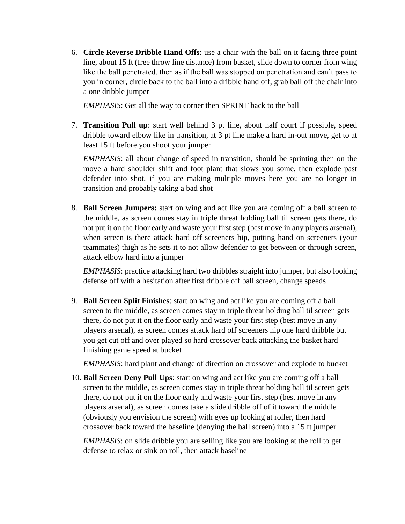6. **Circle Reverse Dribble Hand Offs**: use a chair with the ball on it facing three point line, about 15 ft (free throw line distance) from basket, slide down to corner from wing like the ball penetrated, then as if the ball was stopped on penetration and can't pass to you in corner, circle back to the ball into a dribble hand off, grab ball off the chair into a one dribble jumper

*EMPHASIS*: Get all the way to corner then SPRINT back to the ball

7. **Transition Pull up**: start well behind 3 pt line, about half court if possible, speed dribble toward elbow like in transition, at 3 pt line make a hard in-out move, get to at least 15 ft before you shoot your jumper

*EMPHASIS*: all about change of speed in transition, should be sprinting then on the move a hard shoulder shift and foot plant that slows you some, then explode past defender into shot, if you are making multiple moves here you are no longer in transition and probably taking a bad shot

8. **Ball Screen Jumpers:** start on wing and act like you are coming off a ball screen to the middle, as screen comes stay in triple threat holding ball til screen gets there, do not put it on the floor early and waste your first step (best move in any players arsenal), when screen is there attack hard off screeners hip, putting hand on screeners (your teammates) thigh as he sets it to not allow defender to get between or through screen, attack elbow hard into a jumper

*EMPHASIS*: practice attacking hard two dribbles straight into jumper, but also looking defense off with a hesitation after first dribble off ball screen, change speeds

9. **Ball Screen Split Finishes**: start on wing and act like you are coming off a ball screen to the middle, as screen comes stay in triple threat holding ball til screen gets there, do not put it on the floor early and waste your first step (best move in any players arsenal), as screen comes attack hard off screeners hip one hard dribble but you get cut off and over played so hard crossover back attacking the basket hard finishing game speed at bucket

*EMPHASIS*: hard plant and change of direction on crossover and explode to bucket

10. **Ball Screen Deny Pull Ups**: start on wing and act like you are coming off a ball screen to the middle, as screen comes stay in triple threat holding ball til screen gets there, do not put it on the floor early and waste your first step (best move in any players arsenal), as screen comes take a slide dribble off of it toward the middle (obviously you envision the screen) with eyes up looking at roller, then hard crossover back toward the baseline (denying the ball screen) into a 15 ft jumper

*EMPHASIS*: on slide dribble you are selling like you are looking at the roll to get defense to relax or sink on roll, then attack baseline